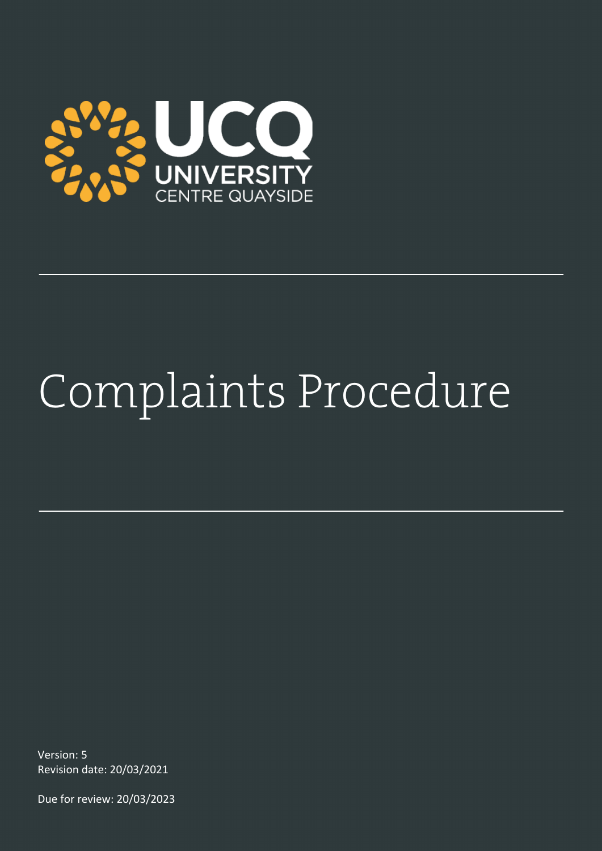

# Complaints Procedure

Version: 5 Revision date: 20/03/2021

Due for review: 20/03/2023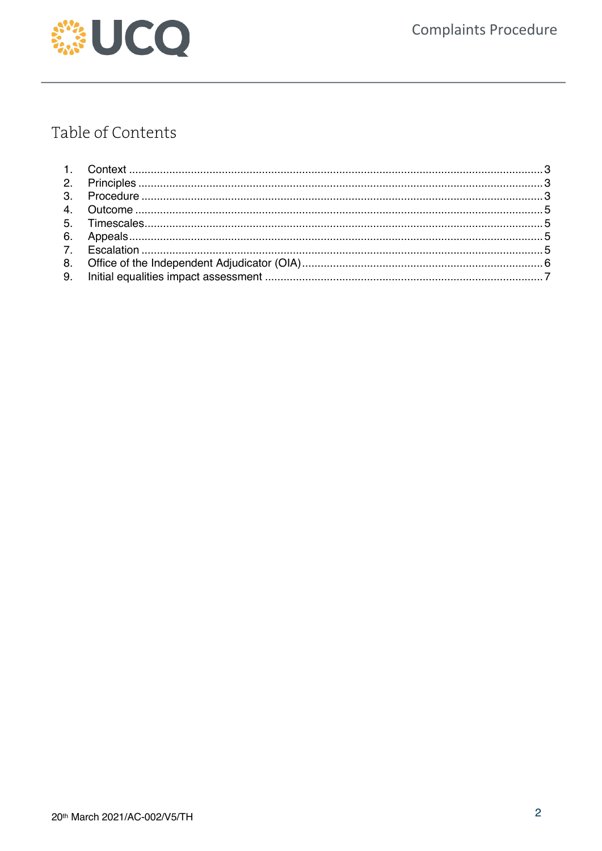

# Table of Contents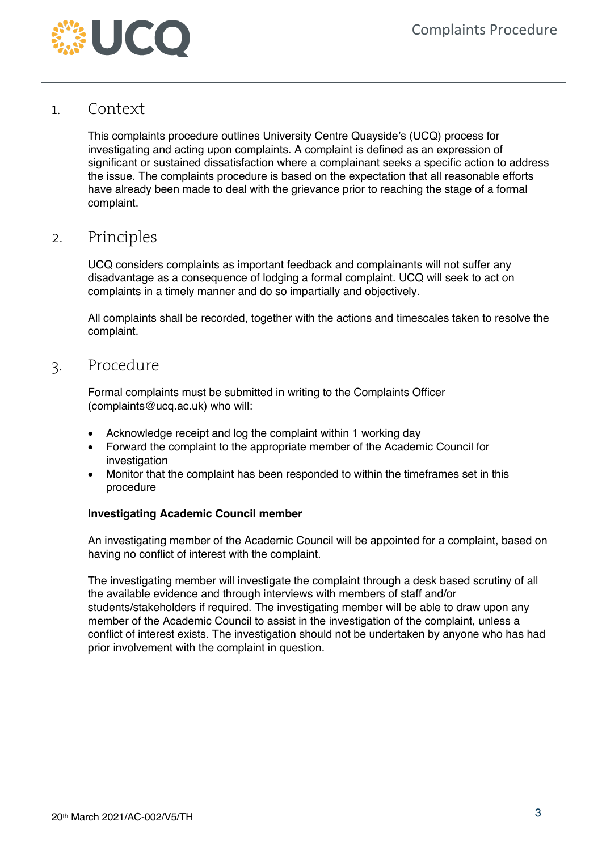

#### 1. Context

This complaints procedure outlines University Centre Quayside's (UCQ) process for investigating and acting upon complaints. A complaint is defined as an expression of significant or sustained dissatisfaction where a complainant seeks a specific action to address the issue. The complaints procedure is based on the expectation that all reasonable efforts have already been made to deal with the grievance prior to reaching the stage of a formal complaint.

### 2. Principles

UCQ considers complaints as important feedback and complainants will not suffer any disadvantage as a consequence of lodging a formal complaint. UCQ will seek to act on complaints in a timely manner and do so impartially and objectively.

All complaints shall be recorded, together with the actions and timescales taken to resolve the complaint.

#### 3. Procedure

Formal complaints must be submitted in writing to the Complaints Officer (complaints@ucq.ac.uk) who will:

- Acknowledge receipt and log the complaint within 1 working day
- Forward the complaint to the appropriate member of the Academic Council for investigation
- Monitor that the complaint has been responded to within the timeframes set in this procedure

#### **Investigating Academic Council member**

An investigating member of the Academic Council will be appointed for a complaint, based on having no conflict of interest with the complaint.

The investigating member will investigate the complaint through a desk based scrutiny of all the available evidence and through interviews with members of staff and/or students/stakeholders if required. The investigating member will be able to draw upon any member of the Academic Council to assist in the investigation of the complaint, unless a conflict of interest exists. The investigation should not be undertaken by anyone who has had prior involvement with the complaint in question.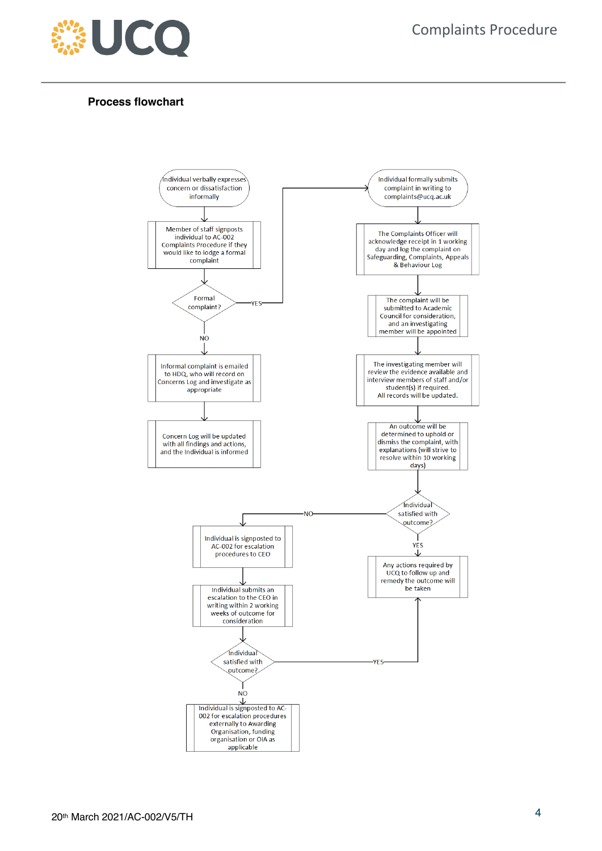

#### **Process flowchart**

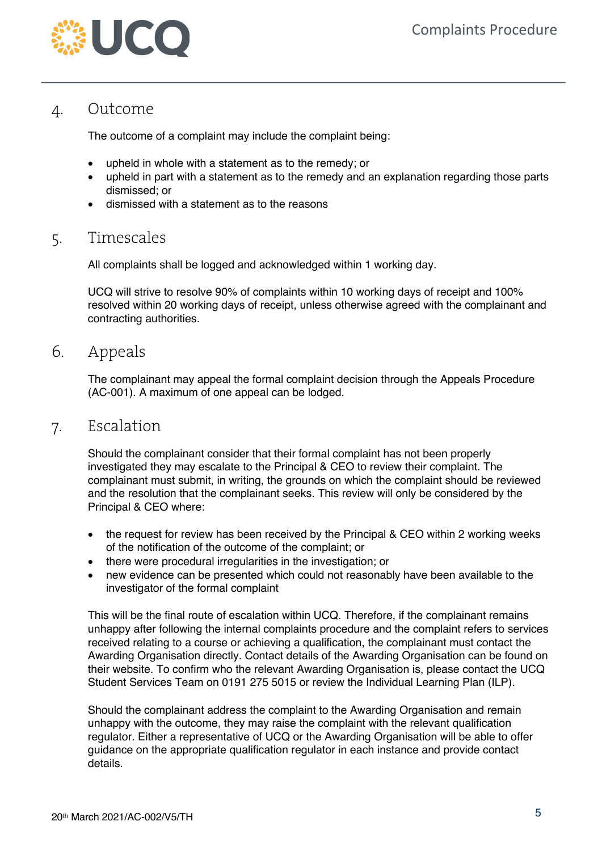

## 4. Outcome

The outcome of a complaint may include the complaint being:

- upheld in whole with a statement as to the remedy; or
- upheld in part with a statement as to the remedy and an explanation regarding those parts dismissed; or
- dismissed with a statement as to the reasons

### 5. Timescales

All complaints shall be logged and acknowledged within 1 working day.

UCQ will strive to resolve 90% of complaints within 10 working days of receipt and 100% resolved within 20 working days of receipt, unless otherwise agreed with the complainant and contracting authorities.

#### 6. Appeals

The complainant may appeal the formal complaint decision through the Appeals Procedure (AC-001). A maximum of one appeal can be lodged.

#### 7. Escalation

Should the complainant consider that their formal complaint has not been properly investigated they may escalate to the Principal & CEO to review their complaint. The complainant must submit, in writing, the grounds on which the complaint should be reviewed and the resolution that the complainant seeks. This review will only be considered by the Principal & CEO where:

- the request for review has been received by the Principal & CEO within 2 working weeks of the notification of the outcome of the complaint; or
- there were procedural irregularities in the investigation; or
- new evidence can be presented which could not reasonably have been available to the investigator of the formal complaint

This will be the final route of escalation within UCQ. Therefore, if the complainant remains unhappy after following the internal complaints procedure and the complaint refers to services received relating to a course or achieving a qualification, the complainant must contact the Awarding Organisation directly. Contact details of the Awarding Organisation can be found on their website. To confirm who the relevant Awarding Organisation is, please contact the UCQ Student Services Team on 0191 275 5015 or review the Individual Learning Plan (ILP).

Should the complainant address the complaint to the Awarding Organisation and remain unhappy with the outcome, they may raise the complaint with the relevant qualification regulator. Either a representative of UCQ or the Awarding Organisation will be able to offer guidance on the appropriate qualification regulator in each instance and provide contact details.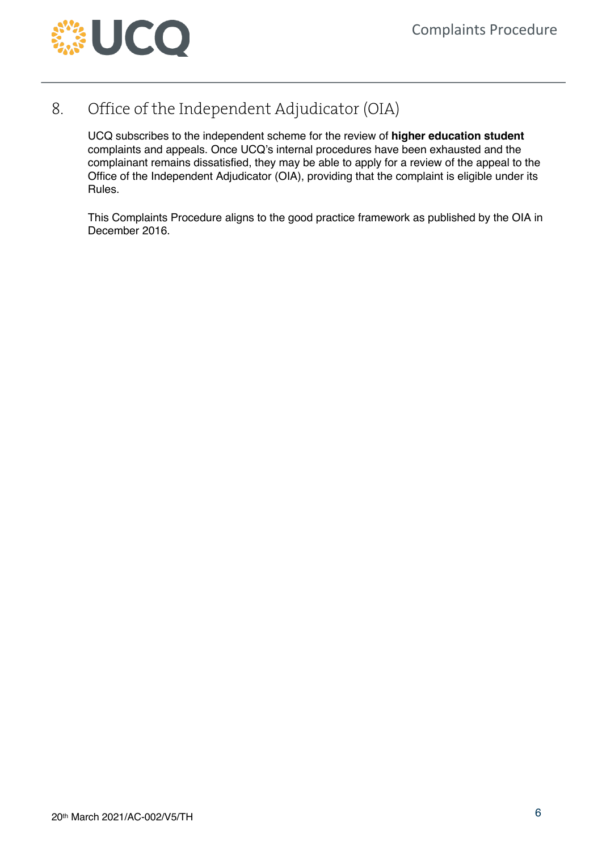

## 8. Office of the Independent Adjudicator (OIA)

UCQ subscribes to the independent scheme for the review of **higher education student** complaints and appeals. Once UCQ's internal procedures have been exhausted and the complainant remains dissatisfied, they may be able to apply for a review of the appeal to the Office of the Independent Adjudicator (OIA), providing that the complaint is eligible under its Rules.

This Complaints Procedure aligns to the good practice framework as published by the OIA in December 2016.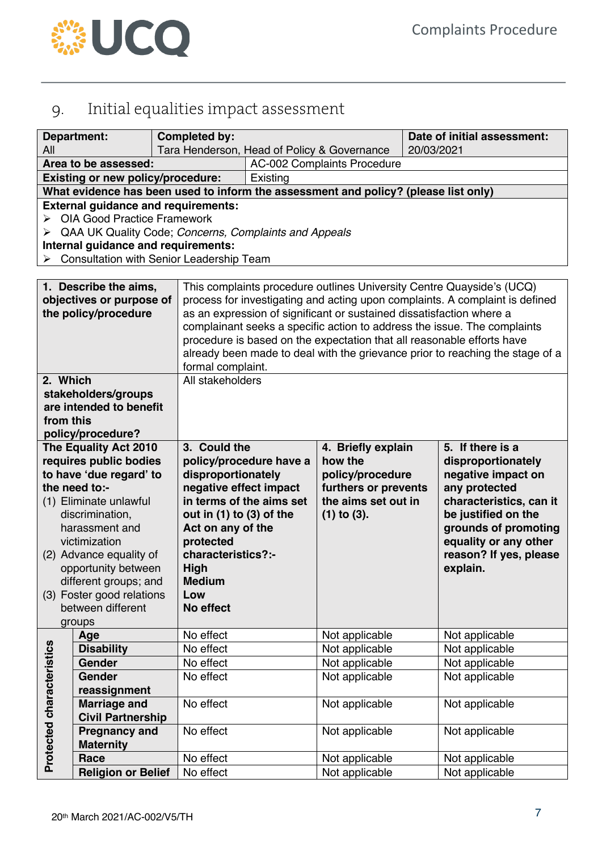

## 9. Initial equalities impact assessment

| <b>Department:</b>                                 |                                          | <b>Completed by:</b>                                                                         |                                                                                                 |                      |            | Date of initial assessment: |  |
|----------------------------------------------------|------------------------------------------|----------------------------------------------------------------------------------------------|-------------------------------------------------------------------------------------------------|----------------------|------------|-----------------------------|--|
| All                                                |                                          |                                                                                              | Tara Henderson, Head of Policy & Governance                                                     |                      | 20/03/2021 |                             |  |
|                                                    | Area to be assessed:                     |                                                                                              | <b>AC-002 Complaints Procedure</b>                                                              |                      |            |                             |  |
|                                                    | <b>Existing or new policy/procedure:</b> |                                                                                              | Existing<br>What evidence has been used to inform the assessment and policy? (please list only) |                      |            |                             |  |
|                                                    |                                          |                                                                                              |                                                                                                 |                      |            |                             |  |
|                                                    |                                          | <b>External guidance and requirements:</b>                                                   |                                                                                                 |                      |            |                             |  |
|                                                    | <b>OIA Good Practice Framework</b>       |                                                                                              |                                                                                                 |                      |            |                             |  |
| ➤                                                  |                                          | QAA UK Quality Code; Concerns, Complaints and Appeals<br>Internal guidance and requirements: |                                                                                                 |                      |            |                             |  |
|                                                    |                                          | Consultation with Senior Leadership Team                                                     |                                                                                                 |                      |            |                             |  |
|                                                    |                                          |                                                                                              |                                                                                                 |                      |            |                             |  |
|                                                    |                                          |                                                                                              | This complaints procedure outlines University Centre Quayside's (UCQ)                           |                      |            |                             |  |
| 1. Describe the aims,<br>objectives or purpose of  |                                          |                                                                                              | process for investigating and acting upon complaints. A complaint is defined                    |                      |            |                             |  |
| the policy/procedure                               |                                          |                                                                                              | as an expression of significant or sustained dissatisfaction where a                            |                      |            |                             |  |
|                                                    |                                          |                                                                                              | complainant seeks a specific action to address the issue. The complaints                        |                      |            |                             |  |
|                                                    |                                          |                                                                                              | procedure is based on the expectation that all reasonable efforts have                          |                      |            |                             |  |
|                                                    |                                          |                                                                                              | already been made to deal with the grievance prior to reaching the stage of a                   |                      |            |                             |  |
|                                                    |                                          |                                                                                              | formal complaint.                                                                               |                      |            |                             |  |
| 2. Which                                           |                                          |                                                                                              | All stakeholders                                                                                |                      |            |                             |  |
| stakeholders/groups                                |                                          |                                                                                              |                                                                                                 |                      |            |                             |  |
|                                                    | are intended to benefit                  |                                                                                              |                                                                                                 |                      |            |                             |  |
| from this                                          |                                          |                                                                                              |                                                                                                 |                      |            |                             |  |
|                                                    | policy/procedure?                        |                                                                                              |                                                                                                 |                      |            |                             |  |
|                                                    | The Equality Act 2010                    | 3. Could the                                                                                 |                                                                                                 | 4. Briefly explain   |            | 5. If there is a            |  |
|                                                    | requires public bodies                   |                                                                                              | policy/procedure have a                                                                         | how the              |            | disproportionately          |  |
|                                                    | to have 'due regard' to                  | disproportionately                                                                           |                                                                                                 | policy/procedure     |            | negative impact on          |  |
|                                                    | the need to:-                            | negative effect impact                                                                       |                                                                                                 | furthers or prevents |            | any protected               |  |
|                                                    | (1) Eliminate unlawful                   |                                                                                              | in terms of the aims set                                                                        | the aims set out in  |            | characteristics, can it     |  |
| discrimination,                                    |                                          | out in (1) to (3) of the                                                                     |                                                                                                 | $(1)$ to $(3)$ .     |            | be justified on the         |  |
|                                                    | harassment and                           | Act on any of the                                                                            |                                                                                                 |                      |            | grounds of promoting        |  |
|                                                    | victimization                            | protected                                                                                    |                                                                                                 |                      |            | equality or any other       |  |
|                                                    | (2) Advance equality of                  | characteristics?:-                                                                           |                                                                                                 |                      |            | reason? If yes, please      |  |
| opportunity between                                |                                          | <b>High</b><br><b>Medium</b>                                                                 |                                                                                                 |                      |            | explain.                    |  |
| different groups; and<br>(3) Foster good relations |                                          | Low                                                                                          |                                                                                                 |                      |            |                             |  |
| between different                                  |                                          | No effect                                                                                    |                                                                                                 |                      |            |                             |  |
|                                                    | groups                                   |                                                                                              |                                                                                                 |                      |            |                             |  |
|                                                    | Age                                      | No effect                                                                                    |                                                                                                 | Not applicable       |            | Not applicable              |  |
|                                                    | <b>Disability</b>                        | No effect                                                                                    |                                                                                                 | Not applicable       |            | Not applicable              |  |
|                                                    | <b>Gender</b>                            | No effect                                                                                    |                                                                                                 | Not applicable       |            | Not applicable              |  |
|                                                    | <b>Gender</b>                            | No effect                                                                                    |                                                                                                 | Not applicable       |            | Not applicable              |  |
|                                                    | reassignment                             |                                                                                              |                                                                                                 |                      |            |                             |  |
|                                                    | <b>Marriage and</b>                      | No effect                                                                                    |                                                                                                 | Not applicable       |            | Not applicable              |  |
|                                                    | <b>Civil Partnership</b>                 |                                                                                              |                                                                                                 |                      |            |                             |  |
| Protected characteristics                          | <b>Pregnancy and</b>                     | No effect                                                                                    |                                                                                                 | Not applicable       |            | Not applicable              |  |
|                                                    | <b>Maternity</b>                         |                                                                                              |                                                                                                 |                      |            |                             |  |
|                                                    | Race                                     | No effect                                                                                    |                                                                                                 | Not applicable       |            | Not applicable              |  |
|                                                    | <b>Religion or Belief</b>                | No effect                                                                                    |                                                                                                 | Not applicable       |            | Not applicable              |  |